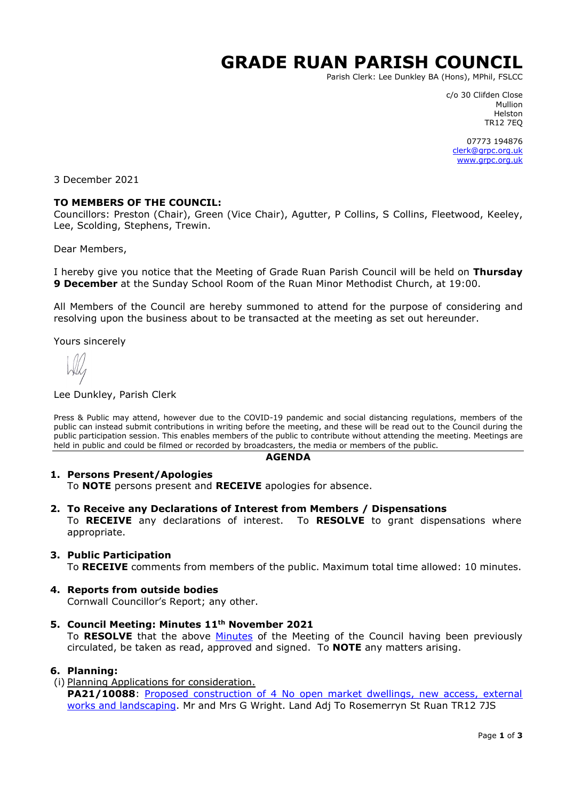# **GRADE RUAN PARISH COUNCIL**

Parish Clerk: Lee Dunkley BA (Hons), MPhil, FSLCC

c/o 30 Clifden Close Mullion Helston TR12 7EQ

07773 194876 [clerk@grpc.org.uk](mailto:clerk@grpc.org.uk) [www.grpc.org.uk](http://www.grpc.org.uk/)

3 December 2021

#### **TO MEMBERS OF THE COUNCIL:**

Councillors: Preston (Chair), Green (Vice Chair), Agutter, P Collins, S Collins, Fleetwood, Keeley, Lee, Scolding, Stephens, Trewin.

Dear Members,

I hereby give you notice that the Meeting of Grade Ruan Parish Council will be held on **Thursday 9 December** at the Sunday School Room of the Ruan Minor Methodist Church, at 19:00.

All Members of the Council are hereby summoned to attend for the purpose of considering and resolving upon the business about to be transacted at the meeting as set out hereunder.

Yours sincerely

#### Lee Dunkley, Parish Clerk

Press & Public may attend, however due to the COVID-19 pandemic and social distancing regulations, members of the public can instead submit contributions in writing before the meeting, and these will be read out to the Council during the public participation session. This enables members of the public to contribute without attending the meeting. Meetings are held in public and could be filmed or recorded by broadcasters, the media or members of the public.

#### **AGENDA**

#### **1. Persons Present/Apologies**

To **NOTE** persons present and **RECEIVE** apologies for absence.

**2. To Receive any Declarations of Interest from Members / Dispensations**

To **RECEIVE** any declarations of interest. To **RESOLVE** to grant dispensations where appropriate.

## **3. Public Participation**

To **RECEIVE** comments from members of the public. Maximum total time allowed: 10 minutes.

#### **4. Reports from outside bodies**

Cornwall Councillor's Report; any other.

**5. Council Meeting: Minutes 11th November 2021** To **RESOLVE** that the above [Minutes](https://www.grpc.org.uk/files/8816/3731/9655/Minutes_11_November_2021_DRAFT.pdf) of the Meeting of the Council having been previously circulated, be taken as read, approved and signed. To **NOTE** any matters arising.

#### **6. Planning:**

(i) Planning Applications for consideration. PA21/10088: Proposed construction of 4 No open market dwellings, new access, external [works and landscaping.](https://planning.cornwall.gov.uk/online-applications/applicationDetails.do?activeTab=documents&keyVal=R0KB78FGM1G00&prevPage=inTray) Mr and Mrs G Wright. Land Adj To Rosemerryn St Ruan TR12 7JS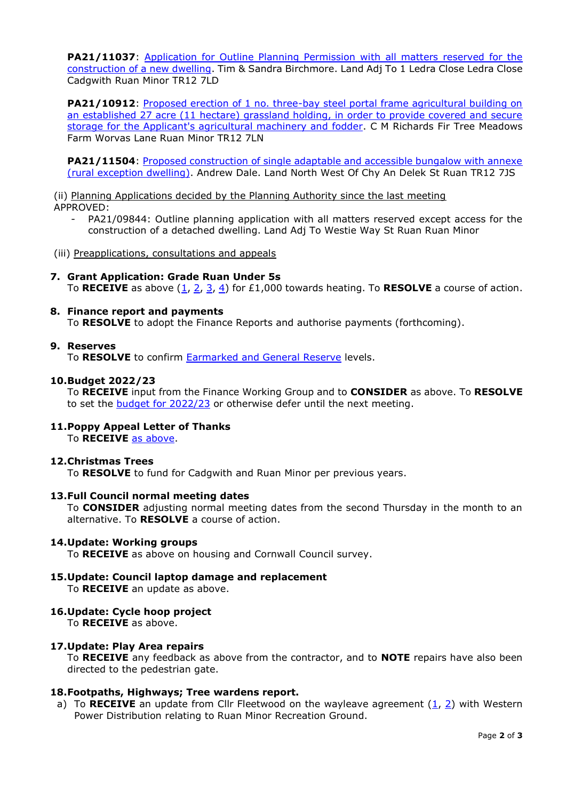**PA21/11037**: Application for Outline Planning Permission with all matters reserved for the [construction of a new dwelling.](https://planning.cornwall.gov.uk/online-applications/applicationDetails.do?activeTab=documents&keyVal=R238VFFGIS800&prevPage=inTray) Tim & Sandra Birchmore. Land Adj To 1 Ledra Close Ledra Close Cadgwith Ruan Minor TR12 7LD

**PA21/10912:** Proposed erection of 1 no. three-bay steel portal frame agricultural building on [an established 27 acre \(11 hectare\) grassland holding, in order to provide covered and secure](https://planning.cornwall.gov.uk/online-applications/applicationDetails.do?activeTab=documents&keyVal=R1XZA7FG0JQ00&prevPage=inTray)  [storage for the Applicant's agricultural machinery and fodder.](https://planning.cornwall.gov.uk/online-applications/applicationDetails.do?activeTab=documents&keyVal=R1XZA7FG0JQ00&prevPage=inTray) C M Richards Fir Tree Meadows Farm Worvas Lane Ruan Minor TR12 7LN

**PA21/11504**: Proposed construction of single adaptable and accessible bungalow with annexe [\(rural exception dwelling\).](https://planning.cornwall.gov.uk/online-applications/applicationDetails.do?activeTab=documents&keyVal=R2TEM0FGJAR00&prevPage=inTray) Andrew Dale. Land North West Of Chy An Delek St Ruan TR12 7JS

(ii) Planning Applications decided by the Planning Authority since the last meeting APPROVED:

- PA21/09844: Outline planning application with all matters reserved except access for the construction of a detached dwelling. Land Adj To Westie Way St Ruan Ruan Minor
- (iii) Preapplications, consultations and appeals
- **7. Grant Application: Grade Ruan Under 5s** To RECEIVE as above  $(1, 2, 3, 4)$  $(1, 2, 3, 4)$  $(1, 2, 3, 4)$  $(1, 2, 3, 4)$  for £1,000 towards heating. To RESOLVE a course of action.
- **8. Finance report and payments** To **RESOLVE** to adopt the Finance Reports and authorise payments (forthcoming).

## **9. Reserves**

To **RESOLVE** to confirm Earmarked and [General Reserve](https://www.grpc.org.uk/files/3516/3853/4328/Item_9_-_Reserves_30_Nov.pdf) levels.

## **10.Budget 2022/23**

To **RECEIVE** input from the Finance Working Group and to **CONSIDER** as above. To **RESOLVE**  to set the [budget for 2022/23](https://www.grpc.org.uk/files/6216/3853/4597/Item_10_-_Budget_2022-23.pdf) or otherwise defer until the next meeting.

**11.Poppy Appeal Letter of Thanks** To **RECEIVE** [as above.](https://www.grpc.org.uk/files/2416/3852/3219/Item_10_-_Poppy_Appeal_letter.pdf)

#### **12.Christmas Trees**

To **RESOLVE** to fund for Cadgwith and Ruan Minor per previous years.

#### **13.Full Council normal meeting dates**

To **CONSIDER** adjusting normal meeting dates from the second Thursday in the month to an alternative. To **RESOLVE** a course of action.

# **14.Update: Working groups**

To **RECEIVE** as above on housing and Cornwall Council survey.

- **15.Update: Council laptop damage and replacement** To **RECEIVE** an update as above.
- **16.Update: Cycle hoop project** To **RECEIVE** as above.

#### **17.Update: Play Area repairs**

To **RECEIVE** any feedback as above from the contractor, and to **NOTE** repairs have also been directed to the pedestrian gate.

## **18.Footpaths, Highways; Tree wardens report.**

a) To **RECEIVE** an update from Cllr Fleetwood on the wayleave agreement [\(1,](https://www.grpc.org.uk/files/9816/3613/0352/Item_16b_-_Grade-Ruan_PC_WL.pdf) [2\)](https://www.grpc.org.uk/files/8116/3613/0390/Item_16b_-_WL_Plan.pdf) with Western Power Distribution relating to Ruan Minor Recreation Ground.